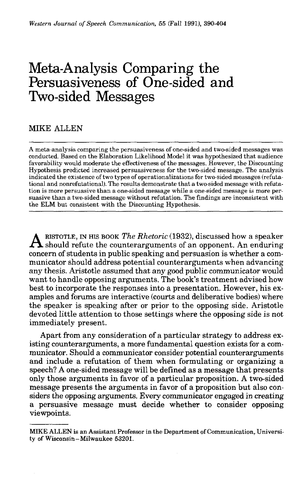# Meta-Analysis Comparing the Persuasiveness of One-sided and Two-sided Messages

## MIKE ALLEN

A meta-analysis comparing the persuasiveness of one-sided and two-sided messages was conducted. Based on the Elaboration Likelihood Model it was hypothesized that audience favorability would moderate the effectiveness of the messages. However, the Discounting Hypothesis predicted increased persuasiveness for the two-sided message. The analysis Indicated the existence of two types of operationalizations for two-sided messages (refutational and nonrefutational). The results demonstrate that a two-sided message with refutation is more persuasive than a one-sided message while a one-sided message is more persuasive than a two-sided message without refutation. The findings are inconsistent with the ELM but consistent with the Discounting Hypothesis.

A RISTOTLE, IN HIS BOOK *The Rhetoric* (1932), discussed how a speaker should refute the counterarguments of an opponent. An enduring should refute the counterarguments of an opponent. An enduring concern of students in public speaking and persuasion is whether a communicator should address potential counterarguments when advancing any thesis. Aristotle assumed that any good public communicator would want to handle opposing arguments. The book's treatment advised how best to incorporate the responses into a presentation. However, his examples and forums are interactive (courts and deliberative bodies) where the speaker is speaking after or prior to the opposing side. Aristotle devoted little attention to those settings where the opposing side is not immediately present.

Apart from any consideration of a particular strategy to address existing counterarguments, a more fundamental question exists for a communicator. Should a communicator consider potential counterarguments and include a refutation of them when formulating or organizing a speech? A one-sided message will be defined as a message that presents only those arguments in favor of a particular proposition. A two-sided message presents the arguments in favor of a proposition but also considers the opposing arguments. Every communicator engaged in creating a persuasive message must decide whether to consider opposing viewpoints.

MIKE ALLEN is an Assistant Professor in the Department of Communication, University of Wisconsin-Milwaukee 53201.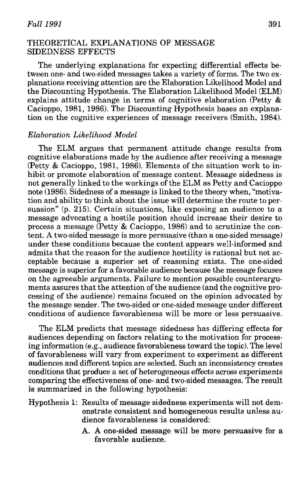## THEORETICAL EXPLANATIONS OF MESSAGE SIDEDNESS EFFECTS

The underlying explanations for expecting differential effects between one- and two-sided messages takes a variety of forms. The two explanations receiving attention are the Elaboration Likelihood Model and the Discounting Hypothesis. The Elaboration Likelihood Model (ELM) explains attitude change in terms of cognitive elaboration (Petty & Cacioppo, 1981, 1986). The Discounting Hypothesis bases an explanation on the cognitive experiences of message receivers (Smith, 1984).

## *Elaboration Likelihood Model*

The ELM argues that permanent attitude change results from cognitive elaborations made by the audience after receiving a message (Petty & Cacioppo, 1981, 1986). Elements of the situation work to inhibit or promote elaboration of message content. Message sidedness is not generally linked to the workings of the ELM as Petty and Cacioppo note (1986). Sidedness of a message is linked to the theory when, "motivation and ability to think about the issue will determine the route to persuasion" (p. 215). Certain situations, like exposing an audience to a message advocating a hostile position should increase their desire to process a message (Petty'& Cacioppo, 1986) and to scrutinize the content. A two-sided message is more persuasive (than a one-sided message) under these conditions because the content appears well-informed and admits that the reason for the audience hostility is rational but not acceptable because a superior set of reasoning exists. The one-sided message is superior for a favorable audience because the message focuses on the agreeable arguments. Failure to mention possible counterarguments assures that the attention of the audience (and the cognitive processing of the audience) remains focused on the opinion advocated by the message sender. The two-sided or one-sided message under different conditions of audience favorableness will be more or less persuasive.

The ELM predicts that message sidedness has differing effects for audiences depending on factors relating to the motivation for processing information (e.g., audience favorableness toward the topic). The level of favorableness will vary from experiment to experiment as different audiences and different topics are selected. Such an inconsistency creates conditions that produce a set of heterogeneous effects across experiments comparing the effectiveness of one- and two-sided messages. The result is summarized in the following hypothesis:

- Hypothesis 1: Results of message sidedness experiments will not demonstrate consistent and homogeneous results unless audience favorableness is considered:
	- A. A one-sided message will be more persuasive for a favorable audience.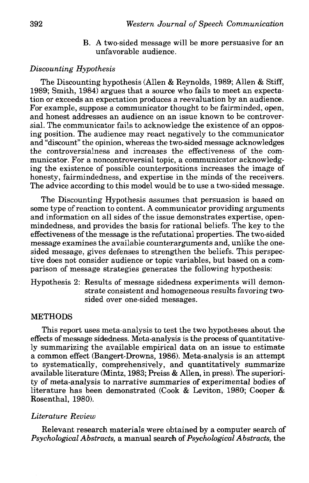B. A two-sided message will be more persuasive for an unfavorable audience.

## *Discounting Hypothesis*

The Discounting hypothesis (Allen & Reynolds, 1989; Allen & Stiff, 1989; Smith, 1984) argues that a source who fails to meet an expectation or exceeds an expectation produces a reevaluation by an audience. For example, suppose a communicator thought to be fairminded, open, and honest addresses an audience on an issue known to be controversial. The communicator fails to acknowledge the existence of an opposing position. The audience may react negatively to the communicator and "discount" the opinion, whereas the two-sided message acknowledges the controversialness and increases the effectiveness of the communicator. For a noncontroversial topic, a communicator acknowledging the existence of possible counterpositions increases the image of honesty, fairmindedness, and expertise in the minds of the receivers. The advice according to this model would be to use a two-sided message.

The Discounting Hypothesis assumes that persuasion is based on some type of reaction to content. A communicator providing arguments and information on all sides of the issue demonstrates expertise, openmindedness, and provides the basis for rational beliefs. The key to the effectiveness of the message is the refutational properties. The two-sided message examines the available counterarguments and, unlike the onesided message, gives defenses to strengthen the beliefs. This perspective does not consider audience or topic variables, but based on a comparison of message strategies generates the following hypothesis:

Hypothesis 2: Results of message sidedness experiments will demonstrate consistent and homogeneous results favoring twosided over one-sided messages.

#### **METHODS**

This report uses meta-analysis to test the two hypotheses about the effects of message sidedness. Meta-analysis is the process of quantitatively summarizing the available empirical data on an issue to estimate a common effect (Bangert-Drowns, 1986). Meta-analysis is an attempt to systematically, comprehensively, and quantitatively summarize available literature (Mintz, 1983; Preiss & Allen, in press). The superiority of meta-analysis to narrative summaries of experimental bodies of literature has been demonstrated (Cook & Leviton, 1980; Cooper & Rosenthal, 1980).

## *Literature Review*

Relevant research materials were obtained by a computer search of *Psychological Abstracts,* a manual search *of Psychological Abstracts,* the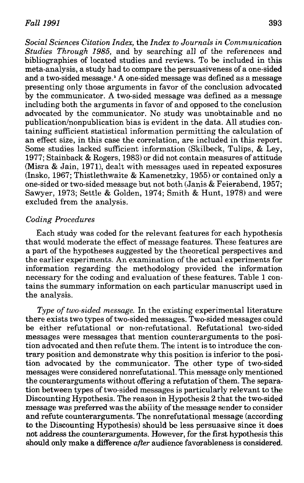*Social Sciences Citation Index,* the *Index to Journals in Communication Studies Through 1985,* and by searching all of the references and bibliographies of located studies and reviews. To be included in this meta-analysis, a study had to compare the persuasiveness of a one-sided and a two-sided message.<sup>1</sup> A one-sided message was defined as a message presenting only those arguments in favor of the conclusion advocated by the communicator. A two-sided message was defined as a message including both the arguments in favor of and opposed to the conclusion advocated by the communicator. No study was unobtainable and no publication/nonpublication bias is evident in the data. All studies containing sufficient statistical information permitting the calculation of an effect size, in this case the correlation, are included in this report. Some studies lacked sufficient information (Skilbeck, Tulips, & Ley, 1977; Stainback & Rogers, 1983) or did not contain measures of attitude (Misra & Jain, 1971), dealt with messages used in repeated exposures (Insko, 1967; Thistlethwaite & Kamenetzky, 1955) or contained only a one-sided or two-sided message but not both (Janis & Feierabend, 1957; Sawyer, 1973; Settle & Golden, 1974; Smith & Hunt, 1978) and were excluded from the analysis.

# *Coding Procedures*

Each study was coded for the relevant features for each hypothesis that would moderate the effect of message features. These features are a part of the hypotheses suggested by the theoretical perspectives and the earlier experiments. An examination of the actual experiments for information regarding the methodology provided the information necessary for the coding and evaluation of these features. Table 1 contains the summary information on each particular manuscript used in the analysis.

*Type of two-sided message.* In the existing experimental literature there exists two types of two-sided messages. Two-sided messages could be either refutational or non-refutational. Refutational two-sided messages were messages that mention counterarguments to the position advocated and then refute them. The intent is to introduce the contrary position and demonstrate why this position is inferior to the position advocated by the communicator. The other type of two-sided messages were considered nonrefutational. This message only mentioned the counterarguments without offering a refutation of them. The separation between types of two-sided messages is particularly relevant to the Discounting Hypothesis. The reason in Hypothesis 2 that the two-sided message was preferred was the ability of the message sender to consider and refute counterarguments. The nonrefutational message (according to the Discounting Hypothesis) should be less persuasive since it does not address the counterarguments. However, for the first hypothesis this should only *raake a* difference *after* audience favorableness is considered.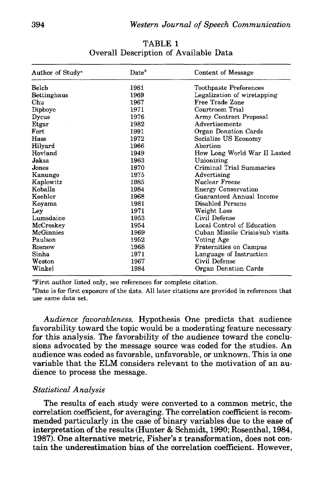| Author of Study <sup>®</sup> | $\mathrm{Date}^b$ | Content of Message              |  |  |
|------------------------------|-------------------|---------------------------------|--|--|
| Belch                        | 1981              | Toothpaste Preferences          |  |  |
| <b>Bettinghaus</b>           | 1969              | Legalization of wiretapping     |  |  |
| Chu                          | 1967              | Free Trade Zone                 |  |  |
| Dipboye                      | 1971              | Courtroom Trial                 |  |  |
| Dycus                        | 1976              | Army Contract Proposal          |  |  |
| Etgar                        | 1982              | Advertisements                  |  |  |
| Fort                         | 1991              | Organ Donation Cards            |  |  |
| Hass                         | 1972              | Socialize US Economy            |  |  |
| Hilyard                      | 1966              | Abortion                        |  |  |
| Hovland                      | 1949              | How Long World War II Lasted    |  |  |
| Jaksa                        | 1963              | Unionizing                      |  |  |
| Jones                        | 1970              | Criminal Trial Summaries        |  |  |
| Kanungo                      | 1975              | Advertising                     |  |  |
| Kaplowitz                    | 1985              | Nuclear Freeze                  |  |  |
| Koballa                      | 1984              | <b>Energy Conservation</b>      |  |  |
| Koehler                      | 1968              | Guaranteed Annual Income        |  |  |
| Koyama                       | 1981              | Disabled Persons                |  |  |
| Ley                          | 1971              | Weight Loss                     |  |  |
| Lumsdaine                    | 1953              | Civil Defense                   |  |  |
| McCroskey                    | 1954              | Local Control of Education      |  |  |
| <b>McGinnies</b>             | 1969              | Cuban Missile Crisis/sub visits |  |  |
| Paulson                      | 1952              | Voting Age                      |  |  |
| Rosnow                       | 1968              | Fraternities on Campus          |  |  |
| Sinha                        | 1971              | Language of Instruction         |  |  |
| Weston                       | 1967              | Civil Defense                   |  |  |
| Winkel                       | 1984              | Organ Donation Cards            |  |  |

TABLE 1 Overall Description of Available Data

"First author listed only, see references for complete citation.

\*Date is for first exposure of the data. All later citations are provided in references that use same data set.

*Audience favorableness.* Hypothesis One predicts that audience favorability toward the topic would be a moderating feature necessary for this analysis. The favorability of the audience toward the conclusions advocated by the message source was coded for the studies. An audience was coded as favorable, unfavorable, or unknown. This is one variable that the ELM considers relevant to the motivation of an audience to process the message.

## *Statistical Analysis*

The results of each study were converted to a common metric, the correlation coefficient, for averaging. The correlation coefficient is recommended particularly in the case of binary variables due to the ease of interpretation of the results (Hunter & Schmidt, 1990; Rosenthal, 1984, 1987). One alternative metric. Fisher's z transformation, does not contain the underestimation bias of the correlation coefficient. However,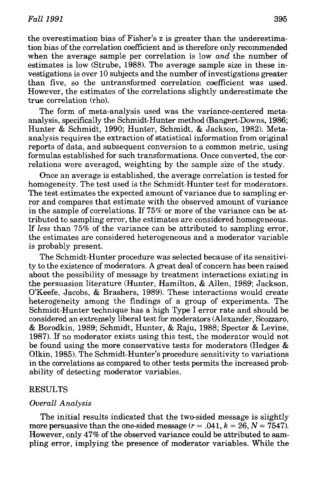the overestimation bias of Fisher's z is greater than the underestimation bias of the correlation coefficient and is therefore only recommended when the average sample per correlation is low *and* the number of estimates is low (Strube, 1988). The average sample size in these investigations is over 10 subjects and the number of investigations greater than five, so the untransformed correlation coefficient was used. However, the estimates of the correlations slightly underestimate the true correlation (rho).

The form of meta-analysis used was the variance-centered metaanalysis, specifically the Schmidt-Hunter method (Bangert-Downs, 1986; Hunter & Schmidt, 1990; Hunter, Schmidt, & Jackson, 1982). Metaanalysis requires the extraction of statistical information from original reports of data, and subsequent conversion to a common metric, using formulas established for such transformations. Once converted, the correlations were averaged, weighting by the sample size of the study.

Once an average is established, the average correlation is tested for homogeneity. The test used is the Schmidt-Hunter test for moderators. The test estimates the expected amount of variance due to sampling error and compares that estimate with the observed amount of variance in the sample of correlations. If 75% or more of the variance can be attributed to sampling error, the estimates are considered homogeneous. If less than 75% of the variance can be attributed to sampling error, the estimates are considered heterogeneous and a moderator variable is probably present.

The Schmidt-Hunter procedure was selected because of its sensitivity to the existence of moderators. A great deal of concern has been raised about the possibility of message by treatment interactions existing in the persuasion literature (Hunter, Hamilton, & Allen, 1989; Jackson, O'Keefe, Jacobs, & Brashers, 1989). These interactions would create heterogeneity among the findings of a group of experiments. The Schmidt-Hunter technique has a high Type I error rate and should be considered an extremely liberal test for moderators (Alexander, Scozzaro, & Borodkin, 1989; Schmidt, Hunter, & Raju, 1988; Spector & Levine, 1987). If no moderator exists using this test, the moderator would not be found using the more conservative tests for moderators (Hedges & Olkin, 1985). The Schmidt-Hunter's procedure sensitivity to variations in the correlations as compared to other tests permits the increased probability of detecting moderator variables.

## RESULTS

### *Overall Analysis*

The initial results indicated that the two-sided message is slightly more persuasive than the one-sided message  $(r = .041, k = 26, N = 7547)$ . However, only 47% of the observed variance could be attributed to sampling error, implying the presence of moderator variables. While the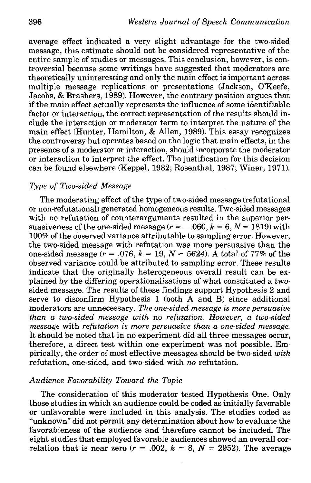average effect indicated a very slight advantage for the two-sided message, this estimate should not be considered representative of the entire sample of studies or messages. This conclusion, however, is controversial because some writings have suggested that moderators are theoretically uninteresting and only the main effect is important across multiple message replications or presentations (Jackson, O'Keefe, Jacobs, & Brashers, 1989). However, the contrary position argues that if the main effect actually represents the influence of some identifiable factor or interaction, the correct representation of the results should include the interaction or moderator term to interpret the nature of the main effect (Hunter, Hamilton, & Allen, 1989). This essay recognizes the controversy but operates based on the logic that main effects, in the presence of a moderator or interaction, should incorporate the moderator or interaction to interpret the effect. The justification for this decision can be found elsewhere (Keppel, 1982; Rosenthal, 1987; Winer, 1971).

## *Type of Two-sided Message*

The moderating effect of the type of two-sided message (refutational or non-refutational) generated homogeneous results. Two-sided messages with no refutation of counterarguments resulted in the superior persuasiveness of the one-sided message  $(r = -.060, k = 6, N = 1819)$  with 100% of the observed variance attributable to sampling error. However, the two-sided message with refutation was more persuasive than the one-sided message ( $r = .076$ ,  $k = 19$ ,  $N = 5624$ ). A total of 77% of the observed variance could be attributed to sampling error. These results indicate that the originally heterogeneous overall result can be explained by the differing operationalizations of what constituted a twosided message. The results of these findings support Hypothesis 2 and serve to disconfirm Hypothesis 1 (both A and B) since additional moderators are unnecessary. *The one-sided message is more persuasive than a two-sided message with* no *refutation. However, a two-sided message* with *refutation is more persuasive than a one-sided message.* It should be noted that in no experiment did all three messages occur, therefore, a direct test within one experiment was not possible. Empirically, the order of most effective messages should be two-sided *with* refutation, one-sided, and two-sided with *no* refutation.

# *Audience Favorability Toward the Topic*

The consideration of this moderator tested Hypothesis One. Only those studies in which an audience could be coded as initially favorable or unfavorable were included in this analysis. The studies coded as "unknown" did not permit any determination about how to evaluate the favorableness of the audience and therefore cannot be included. The eight studies that employed favorable audiences showed an overall correlation that is near zero  $(r = .002, k = 8, N = 2952)$ . The average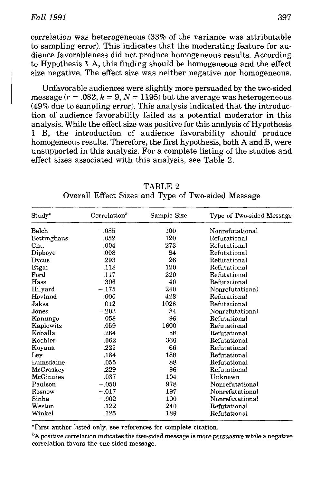correlation was heterogeneous (33% of the variance was attributable to sampling error). This indicates that the moderating feature for audience favorableness did not produce homogeneous results. According to Hypothesis 1 A, this finding should be homogeneous and the effect size negative. The effect size was neither negative nor homogeneous.

Unfavorable audiences were slightly more persuaded by the two-sided message  $(r = .082, k = 9, N = 1195)$  but the average was heterogeneous (49% due to sampling error). This analysis indicated that the introduction of audience favorability failed as a potential moderator in this analysis. While the effect size was positive for this analysis of Hypothesis 1 B, the introduction of audience favorability should produce homogeneous results. Therefore, the first hypothesis, both A and B, were unsupported in this analysis. For a complete listing of the studies and effect sizes associated with this analysis, see Table 2.

| Study <sup>a</sup> | Correlation <sup>b</sup> | Sample Size | Type of Two-sided Message |
|--------------------|--------------------------|-------------|---------------------------|
| Belch              | $-.085$                  | 100         | Nonrefutational           |
| Bettinghaus        | .052                     | 120         | Refutational              |
| Chu                | .004                     | 273         | Refutational              |
| Dipboye            | .008                     | 84          | Refutational              |
| Dycus              | .293                     | 26          | Refutational              |
| Etgar              | .118                     | 120         | Refutational              |
| Ford               | .117                     | 220         | Refutational              |
| Hass               | .306                     | 40          | Refutational              |
| Hilyard            | $-.175$                  | 240         | Nonrefutational           |
| Hovland            | .000                     | 428         | Refutational              |
| Jaksa              | .012                     | 1028        | Refutational              |
| Jones              | $-.203$                  | 84          | Nonrefutational           |
| Kanungo            | .058                     | 96          | Refutational              |
| Kaplowitz          | .059                     | 1600        | Refutational              |
| Koballa            | .264                     | 58          | Refutational              |
| Koehler            | .062                     | 360         | Refutational              |
| Koyana             | .225                     | 66          | Refutational              |
| Ley                | .184                     | 188         | Refutational              |
| Lumsdaine          | .055                     | 88          | Refutational              |
| McCroskey          | .229                     | 96          | Refutational              |
| McGinnies          | .037                     | 104         | Unknown                   |
| Paulson            | $-.050$                  | 978         | Nonrefutational           |
| Rosnow             | $-.017$                  | 197         | Nonrefutational           |
| Sinha              | $-.002$                  | 100         | Nonrefutational           |
| Weston             | .122                     | 240         | Refutational              |
| Winkel             | .125                     | 189         | Refutational              |

TABLE 2 Overall Effect Sizes and Type of Two-sided Message

"First author listed only, see references for complete citation.

 ${}^{b}$ A positive correlation indicates the two-sided message is more persuasive while a negative correlation favors the one-sided message.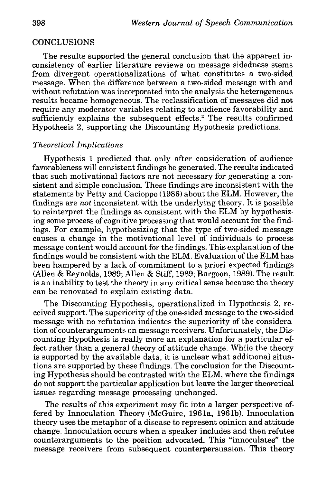## CONCLUSIONS

The results supported the general conclusion that the apparent inconsistency of earlier literature reviews on message sidedness stems from divergent operationalizations of what constitutes a two-sided message. When the difference between a two-sided message with and without refutation was incorporated into the analysis the heterogeneous results became homogeneous. The reclassification of messages did not require any moderator variables relating to audience favorability and sufficiently explains the subsequent effects.<sup>2</sup> The results confirmed Hypothesis 2, supporting the Discounting Hypothesis predictions.

#### *Theoretical Implications*

Hypothesis 1 predicted that only after consideration of audience favorahleness will consistent findings he generated. The results indicated that such motivational factors are not necessary for generating a consistent and simple conclusion. These findings are inconsistent with the statements by Petty and Cacioppo (1986) about the ELM. However, the findings are *not* inconsistent with the underlying theory. It is possible to reinterpret the findings as consistent with the ELM hy hypothesizing some process of cognitive processing that would account for the findings. For example, hypothesizing that the type of two-sided message causes a cbange in the motivational level of individuals to process message content would account for the findings. This explanation of the findings would be consistent with the ELM. Evaluation of the ELM has been hampered by a lack of commitment to a priori expected findings (Allen & Reynolds, 1989; Allen & Stiff, 1989; Burgoon, 1989). The result is an inability to test the theory in any critical sense hecause the theory can be renovated to explain existing data.

The Discounting Hypothesis, operationalized in Hypothesis 2, received support. Tbe superiority of the one-sided message to the two-sided message with no refutation indicates the superiority of the consideration of counterarguments on message receivers. Unfortunately, the Discounting Hypothesis is really more an explanation for a particular effect rather than a general theory of attitude change. While the theory is supported by the available data, it is unclear what additional situations are supported by these findings. The conclusion for the Discounting Hypothesis should he contrasted with tbe ELM, where the findings do not support the particular application but leave the larger theoretical issues regarding message processing unchanged.

The results of this experiment may fit into a larger perspective offered by Innoculation Theory (McGuire, 1961a, 1961h). Innoculation theory uses the metaphor of a disease to represent opinion and attitude change. Innoculation occurs when a speaker includes and then refutes counterarguments to the position advocated. This "innoculates" the message receivers from subsequent counterpersuasion. This theory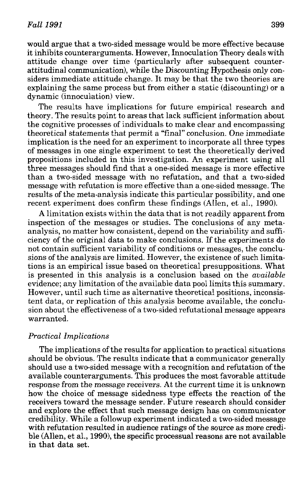would argue that a two-sided message would be more effective because it inhibits counterarguments. However, Innoculation Theory deals with attitude change over time (particularly after subsequent counterattitudinal communication), while the Discounting Hypothesis only considers immediate attitude change. It may be that the two theories are explaining the same process but from either a static (discounting) or a dynamic (innoculation) view.

The results have implications for future empirical research and theory. The results point to areas that lack sufficient information about the cognitive processes of individuals to make clear and encompassing theoretical statements that permit a "final" conclusion. One immediate implication is the need for an experiment to incorporate all three types of messages in one single experiment to test the theoretically derived propositions included in this investigation. An experiment using all three messages should find that a one-sided message is more effective than a two-sided message with no refutation, and that a two-sided message with refutation is more effective than a one-sided message. The results of the meta-analysis indicate this particular possibility, and one recent experiment does confirm these findings (Allen, et al., 1990).

A limitation exists within the data that is not readily apparent from inspection of the messages or studies. The conclusions of any metaanalysis, no matter how consistent, depend on the variability and sufficiency of the original data to make conclusions. If the experiments do not contain sufficient variability of conditions or messages, the conclusions of tbe analysis are limited. However, the existence of such limitations is an empirical issue based on theoretical presuppositions. What is presented in this analysis is a conclusion based on the *available* evidence; any limitation of the available data pool limits this summary. However, until such time as alternative theoretical positions, inconsistent data, or replication of this analysis become available, the conclusion about the effectiveness of a two-sided refutational message appears warranted.

## *Practical Implications*

The implications of the results for application to practical situations should be obvious. The results indicate that a communicator generally should use a two-sided message with a recognition and refutation of the available counterarguments. This produces the most favorable attitude response from the message receivers. At the current time it is unknown how the choice of message sidedness type effects the reaction of the receivers toward the message sender. Future research should consider and explore the effect that such message design has on communicator credibility. While a followup experiment indicated a two-sided message with refutation resulted in audience ratings of the source as more credible (Allen, et al., 1990), the specific processual reasons are not available in that data set.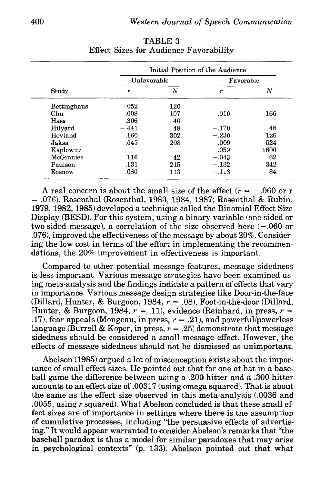| Study              | Initial Position of the Audience |     |           |      |  |
|--------------------|----------------------------------|-----|-----------|------|--|
|                    | Unfavorable                      |     | Favorable |      |  |
|                    | r                                | Ν   | r         | N    |  |
| <b>Bettinghaus</b> | .052                             | 120 |           |      |  |
| Chu                | .008                             | 107 | .010      | 166  |  |
| Hass               | .306                             | 40  |           |      |  |
| Hilyard            | $-.441$                          | 48  | $-.170$   | 48   |  |
| Hovland            | .160                             | 302 | $-.230$   | 126  |  |
| Jaksa              | .045                             | 208 | .009      | 524  |  |
| Kaplowitz          |                                  |     | .059      | 1600 |  |
| McGinnies          | .116                             | 42  | $-.043$   | 62   |  |
| Paulson            | .131                             | 215 | $-.132$   | 342  |  |
| Rosnow             | .080                             | 113 | $-.113$   | 84   |  |

TABLE 3 Effect Sizes for Audience Favorability

A real concern is about the small size of the effect  $(r = -.060$  or r  $= .076$ ). Rosenthal (Rosenthal, 1983, 1984, 1987; Rosenthal & Rubin, 1979,1982,1985) developed a technique called the Binomial Effect Size Display (BESD). For this system, using a binary variable (one-sided or two-sided message), a correlation of the size observed here  $(-.060$  or .076), improved the effectiveness of the message by about 20%. Considering the low cost in terms of the effort in implementing the recommendations, the 20% improvement in effectiveness is important.

Compared to other potential message features, message sidedness is less important. Various message strategies have been examined using meta-analysis and the findings indicate a pattern of effects that vary in importance. Various message design strategies like Door-in-the-face (Dillard, Hunter, & Burgoon, 1984,  $r = .08$ ), Foot-in-the-door (Dillard, Hunter, & Burgoon, 1984,  $r = 11$ ), evidence (Reinhard, in press,  $r =$ .17), fear appeals (Mongeau, in press,  $r = .21$ ), and powerful/powerless language (Burrell & Koper, in press,  $r = .25$ ) demonstrate that message sidedness should be considered a small message effect. However, the effects of message sidedness should not be dismissed as unimportant.

Abelson (1985) argued a lot of misconception exists about the importance of small effect sizes. He pointed out that for one at bat in a baseball game the difference between using a .200 hitter and a .300 hitter amounts to an effect size of .00317 (using omega squared). That is ahout the same as the effect size observed in this meta-analysis (.0036 and .0055, using  $r$  squared). What Abelson concluded is that these small effect sizes are of importance in settings where there is the assumption of cumulative processes, including "the persuasive effects of advertising." It would appear warranted to consider Abelson's remarks that "the baseball paradox is thus a model for similar paradoxes that may arise in psychological contexts" (p. 133). Abelson pointed out that what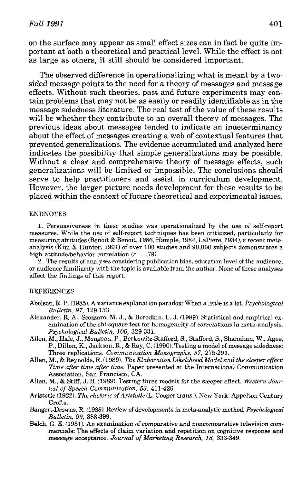on the surface may appear as small effect sizes can in fact be quite important at both a theoretical and practical level. While the effect is not as large as others, it still should be considered important.

The observed difference in operationalizing what is meant by a twosided message points to the need for a theory of messages and message effects. Without such theories, past and future experiments may contain problems that may not be as easily or readily identifiable as in tbe message sidedness literature. The real test of the value of these results will be whether they contribute to an overall theory of messages. The previous ideas about messages tended to indicate an indeterminancy about the effect of messages creating a web of contextual features that prevented generalizations. The evidence accumulated and analyzed here indicates the possibility that simple generalizations may be possible. Without a clear and comprehensive theory of message effects, such generalizations will be limited or impossible. The conclusions should serve to help practitioners and assist in curriculum development. However, the larger picture needs development for these results to be placed within the context of future theoretical and experimental issues.

#### ENDNOTES

1. Persuasiveness in these studies was operationalized hy the use of self-report measures. While the use of self-report techniques has been criticized, particularly for measuring attitudes {Benoit & Benoit, 1986, Hample, 1984, LaPiere, 1934), a recent metaanalysis (Kim & Hunter, 1991) of over 100 studies and 90,000 suhjects demonstrates a high attitude/hehavior correlation *(r =* ,79).

2. The results of analyses considering publication bias, education level of the audience, or audience familiarity with the topic is availahle from the author. None of these analyses affect the findings of this report.

#### REFERENCES

- Abelson, R. P. (1985). A variance explanation paradox: When a little is a lot. *Psychological Bulletin, 97,* 129-133.
- Alexander, R. A., Scozzaro, M. J., & Borodkin, L. J, (1989), Statistical and empirical examination of the chi-square test for homogeneity of correlations in meta-analysis. *Psychological Bulletin, 106,* 329-331.
- Allen, M., Hale, J., Mongeau, P., Berkowitz-Stafford, S., Stafford, S., Shanahan, W., Agee, P., Dillon, K., Jackson, R., & Ray, C. (1990). Testing a model of message sidedness: Three replications. *Communication Monographs, 57,* 275-291.
- Allen, M., & Reynolds, R. (1989). *The Elaboration Likelihood Model and the sleeper effect-Time after time after time-* Paper presented at the International Communication Association, San Francisco, CA.
- Allen, M., & Stiff, J. B. (1989). Testing three models for the sleeper effect. *Western Journal of Speech Communication, 53,* 411-426.
- Aristotle (1932). *The rhetoric of Aristotle* (L. Cooper trans.). New York: Appelton-Century Crofts.
- Bangert-Drowns, R. (1986). Review of developments in meta-analytic method. *Psychological Bulletin, 99,* 388-399.
- Belch, G. E. (1981). An examination of comparative and noncomparative television commercials: The effects of claim variation and repetition on cognitive response and message acceptance. *Journal of Marketing Research, 18,* 333-349.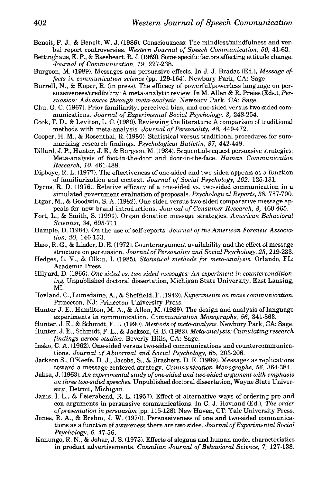Benoit, P. J., & Benoit, W. J. (1986). Consciousness: The mindless/mindfulness and verbal report controversies. *Western Journal of Speech Communication, 50,* 41-63.

- Bettinghaus, E. P., & Baseheart, R. J. (1969). Some specific factors affecting attitude change. *Journal of Communication, 19,* 227-238.
- Burgoon, M. (1989). Messages and persuasive effects. In J. J. Bradac (Ed.), *Message effects in communication science* (pp. 129-164). Newbury Park, CA: Sage.
- Burrell, N., & Koper, R. (in press). The efficacy of powerful/powerless language on persuasiveness/credibility: A meta-analytic review. In M. Allen & R. Preiss (Eds.), *Persuasion: Advances through meta-analysis.* Newbury Park, CA: Sage.
- Chu, G. C. (1967). Prior familiarity, perceived bias, and one-sided versus two-sided communications. *Journal of Experimental Social Psychology, 3,* 243-254.
- Cook, T. D., & Leviton, L. C. (1980). Reviewing the literature: A comparison of traditional methods with meta-analysis. *Journal of Personality, 48,* 449-472.
- Cooper, H. M., & Rosenthal, R. (1980). Statistical versus traditional procedures for summarizing research findings. *Psychological Bulletin, 87,* 442-449.
- Dillard, J. P., Hunter, J. E., & Burgoon, M. (1984). Sequential-request persuasive strategies: Meta-analysis of foot-in-the-door and door-in-the-face. *Human Communication Research, 10,* 461-488.
- Dipboye, R. L. (1977). The effectiveness of one-sided and two sided appeals as a function of familiarization and context. *Journal of Social Psychology, 102,* 125-131.
- Dycus, R. D. (1976). Relative efficacy of a one-sided vs. two-sided communication in a simulated govemment evaluation of proposals. *Psychological Reports, 38,* 787-790.
- Etgar, M., & Goodwin, S. A. (1982). One-sided versus two-sided comparative message appeals for new brand introductions. *Journal of Consumer Research, 8,* 460-465.
- Fort, L., & Smith, S. (1991). Organ donation message strategies. *American Behavioral Scientist, 34,* 695-711.
- Hample, D. (1984). On the use of self-reports. *Journal of the American Forensic Association, 20,* 140-153.
- Hass, R. G., & Linder, D. E. (1972). Counterargument availability and the effect of message structure on persuasion. *Journal of Personality and Social Psychology, 23,* 219-233.
- Hedges, L. V., & Olkin, 1. (1985). *Statistical methods for meta-analysis.* Orlando, FL: Academic Press.
- Hilyard, D. (1966). One-sided vs. two sided messages: An experiment in countercondition*ing.* Unpublished doctoral dissertation, Michigan State University, East Lansing, MI.
- Hovland, C, Lumsdaine, A., & Sheffield, F. (1949). *Experiments on mass communication.* Princeton, NJ: Princeton University Press.
- Hunter J. E., Hamilton, M. A., & Allen, M. (1989). The design and analysis of language experiments in communication. *Communication Monographs, 56,* 341-363.
- Hunter, J. E., & Schmidt, F. L. (1990). *Methods of meta-analysis.* Newbiuy Park, CA: Sage.
- Hunter, J. E., Schmidt, F. L., & Jackson, G. B. (1982). *Meta-analysis: Cumulating research findings across studies.* Beverly Hills, CA: Sage.
- Insko, C. A. (1962). One-sided versus two-sided communications and countercommunications. *Journal of Abnormal and Social Psychology, 65,* 203-206.
- Jackson S., O'Keefe, D. J., Jacobs, S., & Brashers, D. E. (1989). Messages as replications toward a message-centered strategy. *Communication Monographs, 56,* 364-384.
- Jaksa, J. (1963). An *experimental study of one-sided and two-sided argument with emphasis on three two-sided speeches.* Unpublished doctoral dissertation, Wayne State University, Detroit, Michigan.
- Janis, I. L., *&* Feierabend, R. L. (1957). Effect of alternative ways of ordering pro and con arguments in persuasive communications. In C. J. Hovland (Ed.), *The order of presentation in persuasion* (pp. 115-128). New Haven, CT: Yale University Press.
- Jones, R. A., & Brehm, J. W. (1970). Persuasiveness of one and two-sided communications as a function of awareness there are two sides. Journal of Experimental Social *Psychology, 6,* 47-56.
- Kanungo, R. N., & Johar, J. S. (1975). Effects of slogans and human model characteristics in product advertisements. *Canadian Journal of Behavioral Science, 7,* 127-138.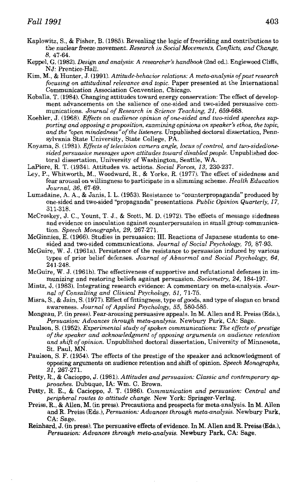- Kaplowitz, S., & Fisher, B. (1985). Revealing the logic of freeriding and contrihutions to the nuclear freeze movement. Research in Social Movements, Conflicts, and Change, *8,* 47-64.
- Keppel, G. (1982). *Design and analysis: A researcher's handbook* (2nd ed.). Englewood Cliffs, NJ: Prentice-Hall.
- Kim, M., *&* Hunter, J. (1991). *Attitude-behavior relations: A meta-analysis of past research focusing on attitudinal relevance and topic.* Paper presented at the International Communication Association Convention, Chicago.
- Kohalla, T. (1984). Changing attitudes toward energy conservation: The effect of development advancements on the salience of one-sided and two-sided persuasive communications. *Journal of Research in Science Teaching, 21,* 659-668.
- Koehler, J. (1968). *Effects on audience opinion of one-sided and two-sided speeches supporting and opposing a proposition, examining opinions on speaker's ethos, the topic, and the "open mindedness''ofthe listeners.* Unpublished doctoral dissertation, Pennsylvania State University, State College, PA.
- Koyama, S. (1981). *Effects of television camera angle, locus of control, and two-sided/onesided persuasive messages upon attitudes toward disabled people-* Unpuhlished doctoral dissertation, University of Washington, Seattle, WA.
- LaPiere, R, T. (1934). Attitudes vs. actions. *Social Forces, 13,* 230-237.
- Ley, P., Whitworth, M., Woodward, R., & Yorke, R. (1977). The effect of sidedness and fear arousal on willingness to participate in a slimming scheme. *Health Education Journal, 36.* 67-69.
- Lumsdaine, A. A., & Janis, I. L. (1953). Resistance to "counterpropaganda" produced by one-sided and two-sided "propaganda" presentations. *Public Opinion Quarterly, 17,* 311-318.
- McCroskey, J. C, Yount, T. J,, & Scott, M. D. (1972). The effects of message sidedness and evidence on inoculation against counterpersuasion in small group communication. *Speech Monographs, 29,* 267-271.
- McGinnies, E. (1966). Studies in persuasion: III. Reactions of Japanese students to onesided and two-sided communications. *Journal of Social Psychology*, 70, 87-93.
- McGuire, W. J, (1961a). Persistence of the resistance to persuasion induced by various types of prior helief defenses. *Journal of Abnormal and Social Psychology, 64,* 241-248.
- McGuire, W, J. (1961b). The effectiveness of supportive and refutationa! defenses in immunizing and restoring beliefs against persuasion. *Sociometry, 24,* 184-197.
- Mintz, J. (1983), Integrating research evidence: A commentary on meta-analysis. *Journal of Consulting and Clinical Psychology, 51,* 71-75.
- Misra, S., & Jain, S. (1977). Effect of fittingness, type of goods, and type of slogan on brand awareness. *Journal of Applied Psychology, 55,* 580-585.
- Mongeau, P. (in press). Fear-arousing persuasive appeals. In M. Allen and R. Preiss (Eds.), *Persuasion: Advances through meta-analysis-* Newhury Park, CA: Sage.
- Paulson, S. (1952). *Experimental study of spoken communications: The effects of prestige of the speaker and acknowledgment of opposing arguments on audience retention and shift of opinion.* Unpublished doctoral dissertation. University of Minnesota, St. Paul, MN,
- Paulson, S. F. (1954). The effects of the prestige of the speaker and acknowledgment of opposing arguments on audience retention and shift of opinion. *Speech Monographs, 21,* 267-271.
- Petty, R., & Cacioppo, J. (1981). *Attitudes and persuasion: Classic and contemporary approaches-* Dubuque, IA: Wm. C. Brown.
- Petty, R. E., & Cacioppo, J. T. (1986). *Communication and persuasion: Central and peripheral routes to attitude change.* New York: Springer-Verlag.
- Preiss, R., & Allen, M. (in press). Precautions and prospects for meta-analysis. In M. Allen and R. Preiss (Eds.), *Persuasion: Advances through meta-analysis-* Newbury Park, CA: Sage.
- **Reinhard, J.** (in press). The persuasive effects of evidence. In M. Allen and R. Preiss (E^.), Persuasion.' *Advances through meta-analysis-* Newbury Park, CA: Sage.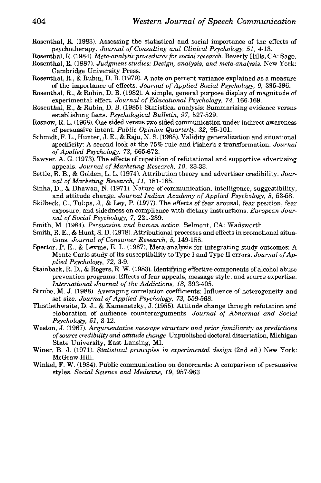Rosenthal, R. (1983). Assessing the statistical and social importance of the effects of psychotherapy. *Journal of Consulting and Clinical Psychology, 51,* 4-13.

Rosentbal, R. (1984). *Meta-analytic procedures for social research.* Beverly Hills, CA: Sage. Rosenthal, R. (1987). *Judgment studies: Design, analysis, and meta-analysis.* New York: Cambridge University Press.

Rosenthal, R.,  $\&$  Rubin, D. B. (1979). A note on percent variance explained as a measure of the importance of effects. *Journal of Applied Social Psychology, 9,* 395-396.

Rosenthal, R., & Rubin, D. B. (1982). A simple, general purpose display of magnitude of experimental effect. *Journal of Educational Psychology, 74,* 166-169.

Rosenthal, B., & Rubin, D. B. (1985). Statistical analysis: Summarizing evidence versus establishing facts. *Psychological Bulletin, 97,* 527-529.

- Rosnow, R. L. (1968). One-sided versus two-sided communication under indirect awareness of persuasive intent. *Public Opinion Quarterly, 32,* 95-101.
- Schmidt, F. L., Hunter, J. E., & Raju, N. S. (1988). Validity generalization and situational specificity: A second look at the 75% rule and Fisher's z transformation. *Journal of Applied Psychology, 73,* 665-672.
- Sawyer, A. G. (1973). The effects of repetition of refutational and supportive advertising appeals. *Journal of Marketing Research, 10,* 23-33.
- Settle, R. B., & Golden, L. L. (1974). Attribution theory and advertiser credibility. *Journal of Marketing Research, II,* 181-185.
- Sinha, D., *&* Dhawan, N. (1971). Nature of communication, intelligence, suggestibility, and attitude change. *Journal Indian Academy of Applied Psychology, 8,* 53-58.
- Skilbeck, C, Tulips, J., *&* Ley, P. (1977). The effects of fear arousal, fear position, fear exposure, and sidedness on compliance with dietary instructions. *European Journal of Social Psychology, 7,* 221-239.
- Smith, M. (1984). *Persuasion and human action.* Belmont, CA: Wadsworth.
- Smith, R. E., & Hunt, S. D. (1978). Attributional processes and effects in promotional situations. *Journal of Consumer Research, 5,* 149-158.
- Spector, P. E., & Levine, E. L. (1987). Meta-analysis for integrating study outcomes: A Monte Carlo study of its susceptibility to Type I and Type II errors. *Journal of Applied Psychology, 72,* 3-9.
- Stainback, R. D., & Rogers, R. W. (1983). Identifying effective components of alcohol abuse prevention programs: Effects of fear appeals, message style, and source expertise. *International Joumal of the Addictions, 18,* 393-405.

Strube, M. J. (1988). Averaging correlation coefficients: Influence of heterogeneity and set size. *Journal of Applied Psychology, 73,* 559-568.

- Thistlethwaite, D. J., & Kamenetzky, J. (1955). Attitude change through refutation and elaboration of audience counterarguments. Journal of Abnormal and Social *Psychology, 51,* 3-12.
- Weston, J. (1967). Argumentative message structure and prior familiarity as predictions *of source credibility and attitude change* Unpublished doctoral dissertation, Michigan State University, East Lansing, MI.
- Winer, B. J. (1971). *Statistical principles in experimental design* (2nd ed.) New York: McGraw-Hill.
- Winkel, F. W. (1984). Public communication on donorcards: A comparison of persuasive styles. *Social Science and Medicine, 19,* 957-963.